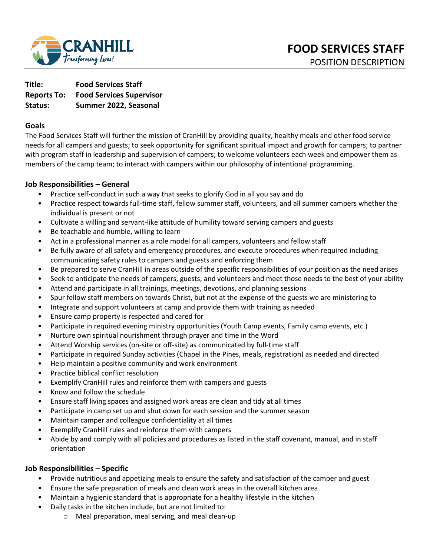

**Title: Food Services Staff Reports To: Food Services Supervisor Status: Summer 2022, Seasonal** 

### **Goals**

The Food Services Staff will further the mission of CranHill by providing quality, healthy meals and other food service needs for all campers and guests; to seek opportunity for significant spiritual impact and growth for campers; to partner with program staff in leadership and supervision of campers; to welcome volunteers each week and empower them as members of the camp team; to interact with campers within our philosophy of intentional programming.

### **Job Responsibilities – General**

- Practice self-conduct in such a way that seeks to glorify God in all you say and do
- Practice respect towards full-time staff, fellow summer staff, volunteers, and all summer campers whether the individual is present or not
- Cultivate a willing and servant-like attitude of humility toward serving campers and guests
- Be teachable and humble, willing to learn
- Act in a professional manner as a role model for all campers, volunteers and fellow staff
- Be fully aware of all safety and emergency procedures, and execute procedures when required including communicating safety rules to campers and guests and enforcing them
- Be prepared to serve CranHill in areas outside of the specific responsibilities of your position as the need arises
- Seek to anticipate the needs of campers, guests, and volunteers and meet those needs to the best of your ability
- Attend and participate in all trainings, meetings, devotions, and planning sessions
- Spur fellow staff members on towards Christ, but not at the expense of the guests we are ministering to
- Integrate and support volunteers at camp and provide them with training as needed
- Ensure camp property is respected and cared for
- Participate in required evening ministry opportunities (Youth Camp events, Family camp events, etc.)
- Nurture own spiritual nourishment through prayer and time in the Word
- Attend Worship services (on-site or off-site) as communicated by full-time staff
- Participate in required Sunday activities (Chapel in the Pines, meals, registration) as needed and directed
- Help maintain a positive community and work environment
- Practice biblical conflict resolution
- Exemplify CranHill rules and reinforce them with campers and guests
- Know and follow the schedule
- Ensure staff living spaces and assigned work areas are clean and tidy at all times
- Participate in camp set up and shut down for each session and the summer season
- Maintain camper and colleague confidentiality at all times
- Exemplify CranHill rules and reinforce them with campers
- Abide by and comply with all policies and procedures as listed in the staff covenant, manual, and in staff orientation

## **Job Responsibilities – Specific**

- Provide nutritious and appetizing meals to ensure the safety and satisfaction of the camper and guest
- Ensure the safe preparation of meals and clean work areas in the overall kitchen area
- Maintain a hygienic standard that is appropriate for a healthy lifestyle in the kitchen
- Daily tasks in the kitchen include, but are not limited to:
	- o Meal preparation, meal serving, and meal clean-up